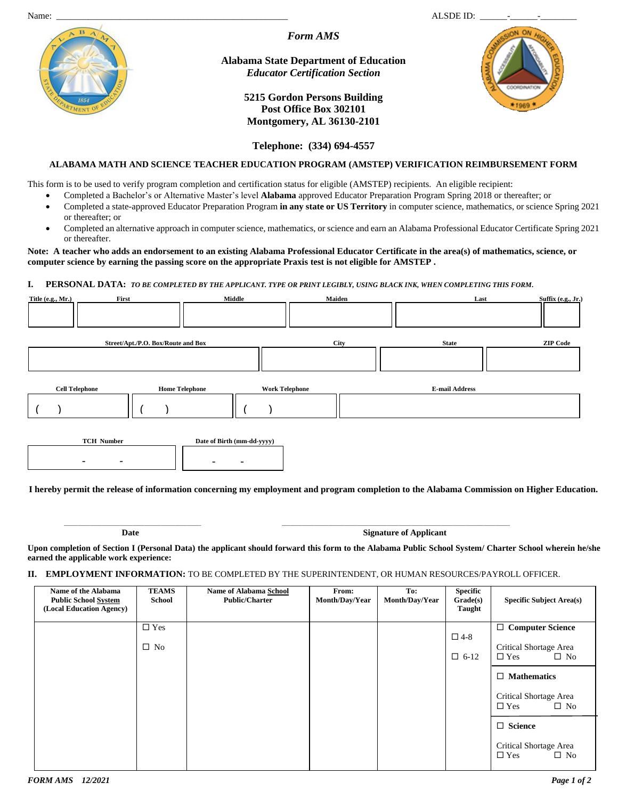*Form AMS*

**Alabama State Department of Education** *Educator Certification Section*

> **5215 Gordon Persons Building Post Office Box 302101 Montgomery, AL 36130-2101**



**Telephone: (334) 694-4557**

# **ALABAMA MATH AND SCIENCE TEACHER EDUCATION PROGRAM (AMSTEP) VERIFICATION REIMBURSEMENT FORM**

This form is to be used to verify program completion and certification status for eligible (AMSTEP) recipients. An eligible recipient:

- Completed a Bachelor's or Alternative Master's level **Alabama** approved Educator Preparation Program Spring 2018 or thereafter; or
- Completed a state-approved Educator Preparation Program **in any state or US Territory** in computer science, mathematics, or science Spring 2021 or thereafter; or
- Completed an alternative approach in computer science, mathematics, or science and earn an Alabama Professional Educator Certificate Spring 2021 or thereafter.

### **Note: A teacher who adds an endorsement to an existing Alabama Professional Educator Certificate in the area(s) of mathematics, science, or computer science by earning the passing score on the appropriate Praxis test is not eligible for AMSTEP .**

### **I. PERSONAL DATA:** *TO BE COMPLETED BY THE APPLICANT. TYPE OR PRINT LEGIBLY, USING BLACK INK, WHEN COMPLETING THIS FORM***.**

| Title $(e.g., Mr.)$   | First                    |                                    | Middle                     | Maiden      | Last                                                                                                                                      | Suffix (e.g., Jr.) |
|-----------------------|--------------------------|------------------------------------|----------------------------|-------------|-------------------------------------------------------------------------------------------------------------------------------------------|--------------------|
|                       |                          |                                    |                            |             |                                                                                                                                           |                    |
|                       |                          | Street/Apt./P.O. Box/Route and Box |                            | <b>City</b> | <b>State</b>                                                                                                                              | <b>ZIP Code</b>    |
|                       |                          |                                    |                            |             |                                                                                                                                           |                    |
| <b>Cell Telephone</b> |                          | <b>Home Telephone</b>              | <b>Work Telephone</b>      |             | <b>E-mail Address</b>                                                                                                                     |                    |
|                       |                          |                                    |                            |             |                                                                                                                                           |                    |
|                       | <b>TCH Number</b>        |                                    | Date of Birth (mm-dd-yyyy) |             |                                                                                                                                           |                    |
|                       | $\overline{\phantom{0}}$ |                                    |                            |             |                                                                                                                                           |                    |
|                       |                          |                                    |                            |             | I hereby permit the release of information concerning my employment and program completion to the Alabama Commission on Higher Education. |                    |

**\_\_\_\_\_\_\_\_\_\_\_\_\_\_\_\_\_\_\_\_\_\_\_\_\_\_\_\_\_\_\_\_\_\_\_\_\_\_\_\_\_\_\_\_\_\_\_\_\_\_\_\_\_\_\_\_\_\_\_\_\_\_\_\_\_\_\_\_ \_\_\_\_\_\_\_\_\_\_\_\_\_\_\_\_\_\_\_\_\_\_\_\_\_\_\_\_\_\_\_\_\_\_\_\_\_\_\_\_\_\_\_\_\_\_\_\_\_\_\_\_\_\_\_\_\_\_\_\_\_\_\_\_\_\_\_\_\_\_\_\_\_\_\_\_\_\_\_\_\_\_\_\_\_\_\_\_\_\_\_\_\_\_\_\_\_\_\_\_\_\_\_\_\_\_\_\_\_\_\_\_\_**

**Date Signature of Applicant** 

**Upon completion of Section I (Personal Data) the applicant should forward this form to the Alabama Public School System/ Charter School wherein he/she earned the applicable work experience:**

# **II. EMPLOYMENT INFORMATION:** TO BE COMPLETED BY THE SUPERINTENDENT, OR HUMAN RESOURCES/PAYROLL OFFICER.

| Name of the Alabama<br><b>Public School System</b><br>(Local Education Agency) | <b>TEAMS</b><br><b>School</b> | <b>Name of Alabama School</b><br><b>Public/Charter</b> | From:<br>Month/Day/Year | To:<br>Month/Day/Year | <b>Specific</b><br>Grade(s)<br>Taught | <b>Specific Subject Area(s)</b>                                                 |
|--------------------------------------------------------------------------------|-------------------------------|--------------------------------------------------------|-------------------------|-----------------------|---------------------------------------|---------------------------------------------------------------------------------|
|                                                                                | $\Box$ Yes<br>$\Box$ No       |                                                        |                         |                       | $\square$ 4-8<br>$\Box$ 6-12          | $\Box$ Computer Science<br>Critical Shortage Area<br>$\square$ No<br>$\Box$ Yes |
|                                                                                |                               |                                                        |                         |                       |                                       | $\Box$ Mathematics<br>Critical Shortage Area<br>$\square$ No<br>$\square$ Yes   |
|                                                                                |                               |                                                        |                         |                       |                                       | $\Box$ Science<br>Critical Shortage Area<br>$\square$ No<br>$\Box$ Yes          |